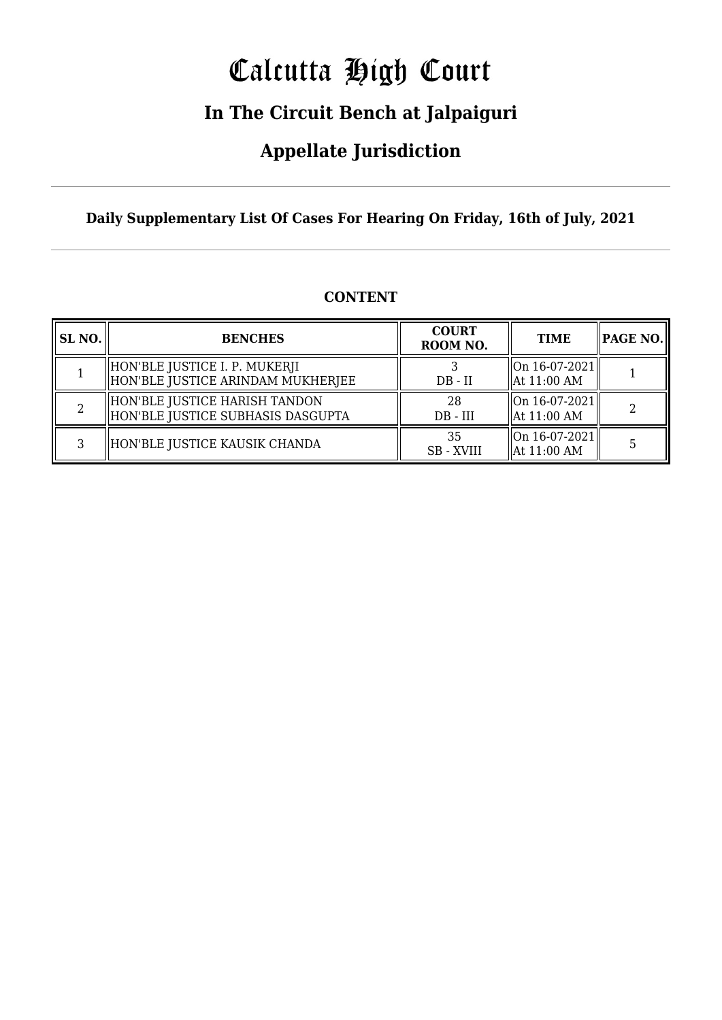# Calcutta High Court

### **In The Circuit Bench at Jalpaiguri**

### **Appellate Jurisdiction**

**Daily Supplementary List Of Cases For Hearing On Friday, 16th of July, 2021**

| <b>SL NO.</b> | <b>BENCHES</b>                                                     | <b>COURT</b><br>ROOM NO. | <b>TIME</b>                                               | PAGE NO. |
|---------------|--------------------------------------------------------------------|--------------------------|-----------------------------------------------------------|----------|
|               | HON'BLE JUSTICE I. P. MUKERJI<br>HON'BLE JUSTICE ARINDAM MUKHERJEE | $DB - II$                | $\vert$ On 16-07-2021 $\vert$<br>$\parallel$ At 11:00 AM  |          |
|               | HON'BLE JUSTICE HARISH TANDON<br>HON'BLE JUSTICE SUBHASIS DASGUPTA | 28<br>$DB - III$         | $\left  \right $ On 16-07-2021<br>$\parallel$ At 11:00 AM | 2        |
|               | HON'BLE JUSTICE KAUSIK CHANDA                                      | 35<br><b>SB</b> - XVIII  | $\vert$ On 16-07-2021 $\vert$<br>$\parallel$ At 11:00 AM  |          |

#### **CONTENT**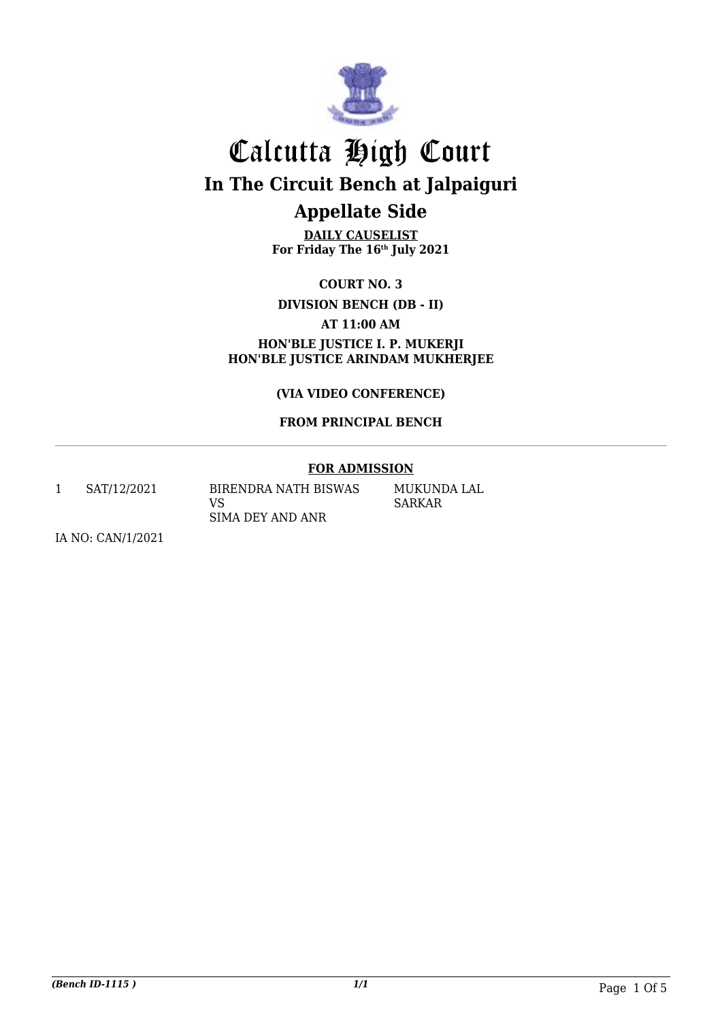

## Calcutta High Court **In The Circuit Bench at Jalpaiguri Appellate Side**

**DAILY CAUSELIST For Friday The 16th July 2021**

**COURT NO. 3**

**DIVISION BENCH (DB - II)**

**AT 11:00 AM**

**HON'BLE JUSTICE I. P. MUKERJI HON'BLE JUSTICE ARINDAM MUKHERJEE**

**(VIA VIDEO CONFERENCE)**

#### **FROM PRINCIPAL BENCH**

#### **FOR ADMISSION**

1 SAT/12/2021 BIRENDRA NATH BISWAS

VS SIMA DEY AND ANR MUKUNDA LAL SARKAR

IA NO: CAN/1/2021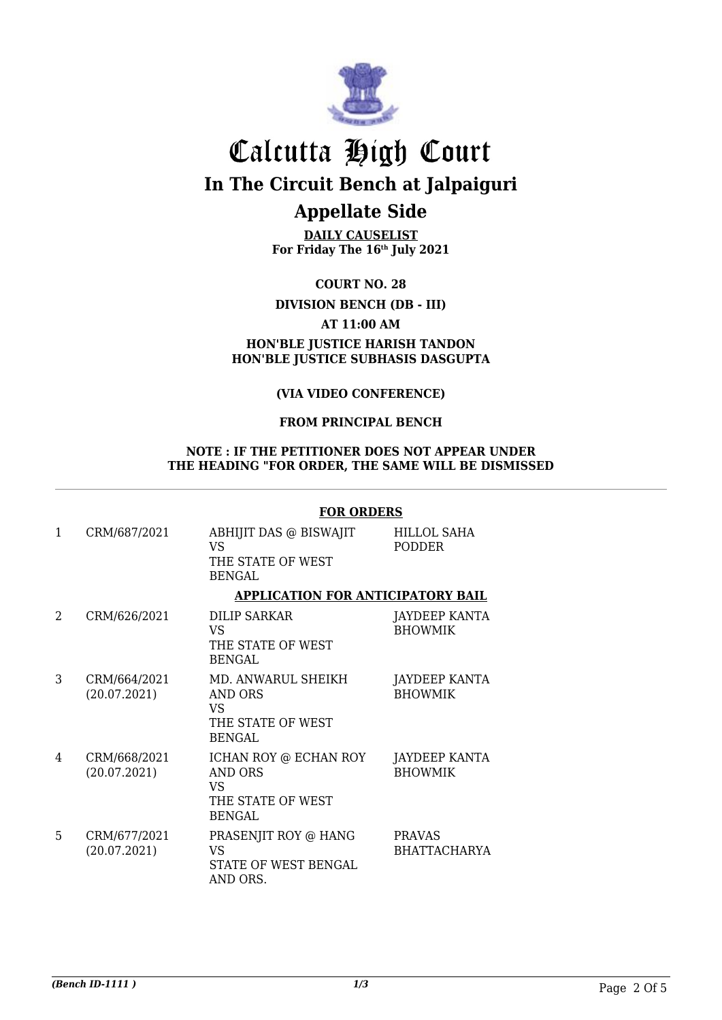

## Calcutta High Court **In The Circuit Bench at Jalpaiguri Appellate Side**

**DAILY CAUSELIST For Friday The 16th July 2021**

**COURT NO. 28**

**DIVISION BENCH (DB - III)**

**AT 11:00 AM**

#### **HON'BLE JUSTICE HARISH TANDON HON'BLE JUSTICE SUBHASIS DASGUPTA**

#### **(VIA VIDEO CONFERENCE)**

#### **FROM PRINCIPAL BENCH**

#### **NOTE : IF THE PETITIONER DOES NOT APPEAR UNDER THE HEADING "FOR ORDER, THE SAME WILL BE DISMISSED**

#### **FOR ORDERS**

| 1                     | CRM/687/2021                 | ABHIJIT DAS @ BISWAJIT<br>VS<br>THE STATE OF WEST<br><b>BENGAL</b>                   | <b>HILLOL SAHA</b><br>PODDER         |
|-----------------------|------------------------------|--------------------------------------------------------------------------------------|--------------------------------------|
|                       |                              | <b>APPLICATION FOR ANTICIPATORY BAIL</b>                                             |                                      |
| $\mathcal{D}_{\cdot}$ | CRM/626/2021                 | <b>DILIP SARKAR</b><br>VS<br>THE STATE OF WEST<br><b>BENGAL</b>                      | JAYDEEP KANTA<br><b>BHOWMIK</b>      |
| 3                     | CRM/664/2021<br>(20.07.2021) | MD. ANWARUL SHEIKH<br>AND ORS<br>VS<br>THE STATE OF WEST<br><b>BENGAL</b>            | JAYDEEP KANTA<br><b>BHOWMIK</b>      |
| 4                     | CRM/668/2021<br>(20.07.2021) | ICHAN ROY @ ECHAN ROY<br><b>AND ORS</b><br>VS.<br>THE STATE OF WEST<br><b>BENGAL</b> | JAYDEEP KANTA<br><b>BHOWMIK</b>      |
| 5                     | CRM/677/2021<br>(20.07.2021) | PRASENJIT ROY @ HANG<br><b>VS</b><br>STATE OF WEST BENGAL<br>AND ORS.                | <b>PRAVAS</b><br><b>BHATTACHARYA</b> |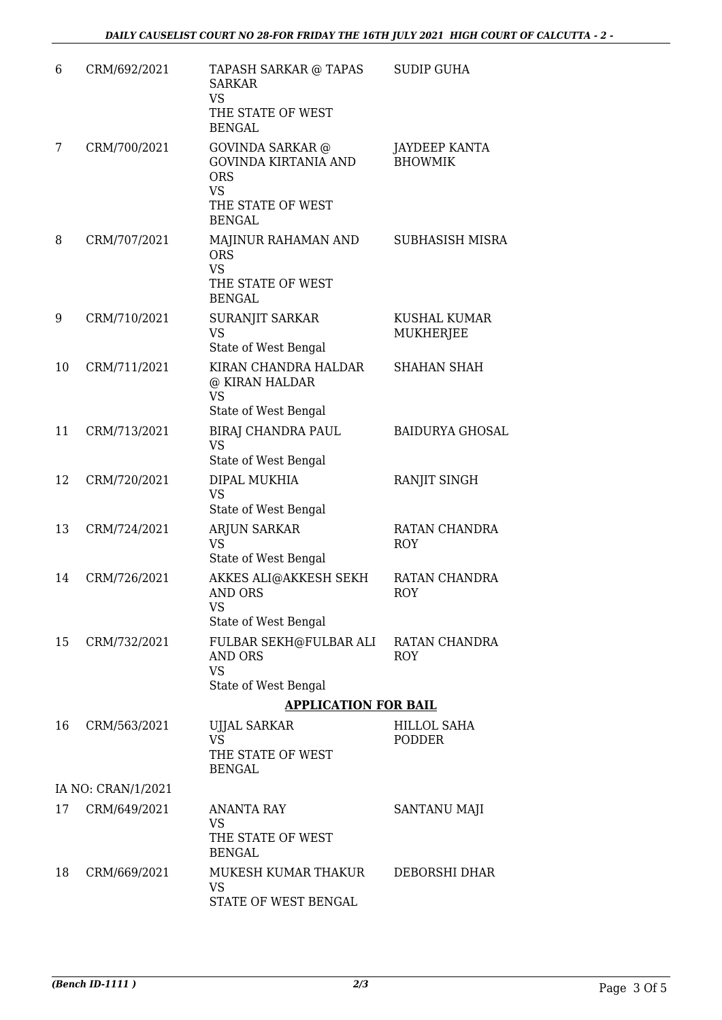| 6  | CRM/692/2021       | TAPASH SARKAR @ TAPAS<br><b>SARKAR</b><br><b>VS</b><br>THE STATE OF WEST<br><b>BENGAL</b>                               | <b>SUDIP GUHA</b>                   |
|----|--------------------|-------------------------------------------------------------------------------------------------------------------------|-------------------------------------|
| 7  | CRM/700/2021       | <b>GOVINDA SARKAR</b> @<br><b>GOVINDA KIRTANIA AND</b><br><b>ORS</b><br><b>VS</b><br>THE STATE OF WEST<br><b>BENGAL</b> | JAYDEEP KANTA<br><b>BHOWMIK</b>     |
| 8  | CRM/707/2021       | MAJINUR RAHAMAN AND<br><b>ORS</b><br><b>VS</b><br>THE STATE OF WEST<br><b>BENGAL</b>                                    | SUBHASISH MISRA                     |
| 9  | CRM/710/2021       | SURANJIT SARKAR<br><b>VS</b><br>State of West Bengal                                                                    | KUSHAL KUMAR<br>MUKHERJEE           |
| 10 | CRM/711/2021       | KIRAN CHANDRA HALDAR<br>@ KIRAN HALDAR<br><b>VS</b><br>State of West Bengal                                             | <b>SHAHAN SHAH</b>                  |
| 11 | CRM/713/2021       | BIRAJ CHANDRA PAUL<br><b>VS</b><br>State of West Bengal                                                                 | <b>BAIDURYA GHOSAL</b>              |
| 12 | CRM/720/2021       | DIPAL MUKHIA<br><b>VS</b><br>State of West Bengal                                                                       | RANJIT SINGH                        |
| 13 | CRM/724/2021       | <b>ARJUN SARKAR</b><br><b>VS</b><br>State of West Bengal                                                                | RATAN CHANDRA<br><b>ROY</b>         |
| 14 | CRM/726/2021       | AKKES ALI@AKKESH SEKH<br><b>AND ORS</b><br><b>VS</b><br>State of West Bengal                                            | RATAN CHANDRA<br><b>ROY</b>         |
| 15 | CRM/732/2021       | FULBAR SEKH@FULBAR ALI<br><b>AND ORS</b><br><b>VS</b><br>State of West Bengal                                           | RATAN CHANDRA<br><b>ROY</b>         |
|    |                    | <b>APPLICATION FOR BAIL</b>                                                                                             |                                     |
| 16 | CRM/563/2021       | <b>UJJAL SARKAR</b><br><b>VS</b><br>THE STATE OF WEST<br><b>BENGAL</b>                                                  | <b>HILLOL SAHA</b><br><b>PODDER</b> |
|    | IA NO: CRAN/1/2021 |                                                                                                                         |                                     |
| 17 | CRM/649/2021       | <b>ANANTA RAY</b><br>VS<br>THE STATE OF WEST<br><b>BENGAL</b>                                                           | SANTANU MAJI                        |
| 18 | CRM/669/2021       | MUKESH KUMAR THAKUR<br><b>VS</b><br>STATE OF WEST BENGAL                                                                | DEBORSHI DHAR                       |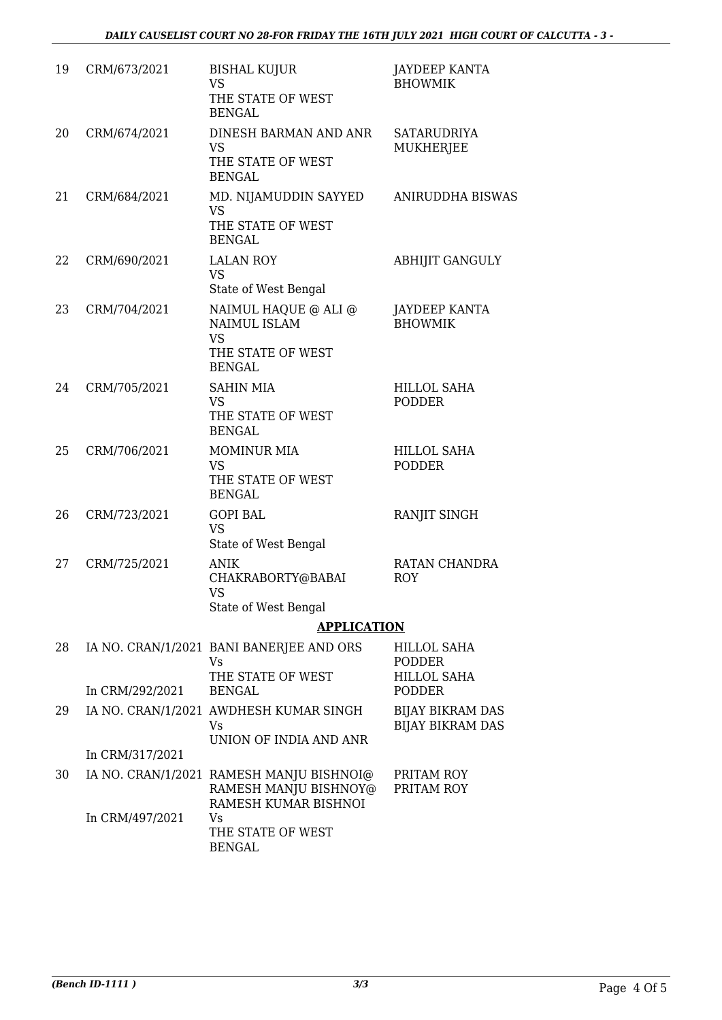| 19 | CRM/673/2021    | <b>BISHAL KUJUR</b><br><b>VS</b>                                                          | <b>JAYDEEP KANTA</b><br><b>BHOWMIK</b>             |
|----|-----------------|-------------------------------------------------------------------------------------------|----------------------------------------------------|
|    |                 | THE STATE OF WEST<br><b>BENGAL</b>                                                        |                                                    |
| 20 | CRM/674/2021    | DINESH BARMAN AND ANR<br><b>VS</b>                                                        | SATARUDRIYA<br><b>MUKHERJEE</b>                    |
|    |                 | THE STATE OF WEST<br><b>BENGAL</b>                                                        |                                                    |
| 21 | CRM/684/2021    | MD. NIJAMUDDIN SAYYED<br><b>VS</b><br>THE STATE OF WEST<br><b>BENGAL</b>                  | ANIRUDDHA BISWAS                                   |
| 22 | CRM/690/2021    | <b>LALAN ROY</b><br><b>VS</b><br>State of West Bengal                                     | <b>ABHIJIT GANGULY</b>                             |
| 23 | CRM/704/2021    | NAIMUL HAQUE @ ALI @<br>NAIMUL ISLAM<br><b>VS</b><br>THE STATE OF WEST<br><b>BENGAL</b>   | <b>JAYDEEP KANTA</b><br><b>BHOWMIK</b>             |
| 24 | CRM/705/2021    | <b>SAHIN MIA</b><br><b>VS</b><br>THE STATE OF WEST<br><b>BENGAL</b>                       | <b>HILLOL SAHA</b><br><b>PODDER</b>                |
| 25 | CRM/706/2021    | <b>MOMINUR MIA</b><br><b>VS</b><br>THE STATE OF WEST<br><b>BENGAL</b>                     | <b>HILLOL SAHA</b><br><b>PODDER</b>                |
| 26 | CRM/723/2021    | <b>GOPI BAL</b><br><b>VS</b><br>State of West Bengal                                      | RANJIT SINGH                                       |
| 27 | CRM/725/2021    | <b>ANIK</b><br>CHAKRABORTY@BABAI<br>VS<br>State of West Bengal                            | RATAN CHANDRA<br><b>ROY</b>                        |
|    |                 | <b>APPLICATION</b>                                                                        |                                                    |
| 28 |                 | IA NO. CRAN/1/2021 BANI BANERJEE AND ORS<br>Vs                                            | <b>HILLOL SAHA</b><br><b>PODDER</b>                |
|    | In CRM/292/2021 | THE STATE OF WEST<br><b>BENGAL</b>                                                        | <b>HILLOL SAHA</b><br><b>PODDER</b>                |
| 29 |                 | IA NO. CRAN/1/2021 AWDHESH KUMAR SINGH<br>Vs.<br>UNION OF INDIA AND ANR                   | <b>BIJAY BIKRAM DAS</b><br><b>BIJAY BIKRAM DAS</b> |
|    | In CRM/317/2021 |                                                                                           |                                                    |
| 30 |                 | IA NO. CRAN/1/2021 RAMESH MANJU BISHNOI@<br>RAMESH MANJU BISHNOY@<br>RAMESH KUMAR BISHNOI | PRITAM ROY<br>PRITAM ROY                           |
|    | In CRM/497/2021 | Vs<br>THE STATE OF WEST<br><b>BENGAL</b>                                                  |                                                    |